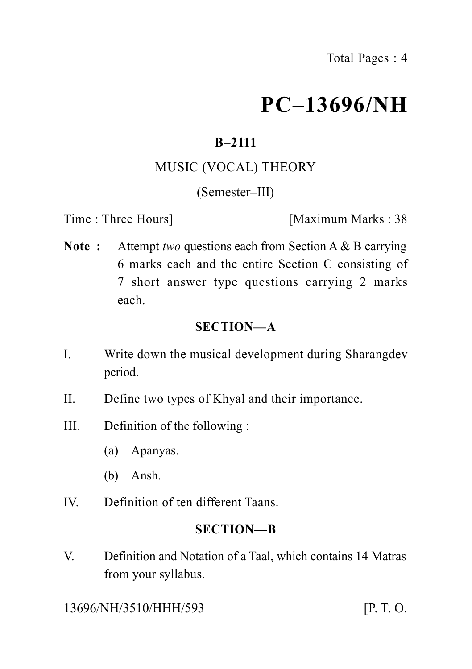# **PC–13696/NH**

# **B–2111**

# MUSIC (VOCAL) THEORY

## (Semester–III)

Time : Three Hours | [Maximum Marks : 38]

**Note :** Attempt *two* questions each from Section A & B carrying 6 marks each and the entire Section C consisting of 7 short answer type questions carrying 2 marks each.

## **SECTION—A**

- I. Write down the musical development during Sharangdev period.
- II. Define two types of Khyal and their importance.
- III. Definition of the following :
	- (a) Apanyas.
	- (b) Ansh.
- IV. Definition of ten different Taans.

# **SECTION—B**

V. Definition and Notation of a Taal, which contains 14 Matras from your syllabus.

13696/NH/3510/HHH/593 [P. T. O.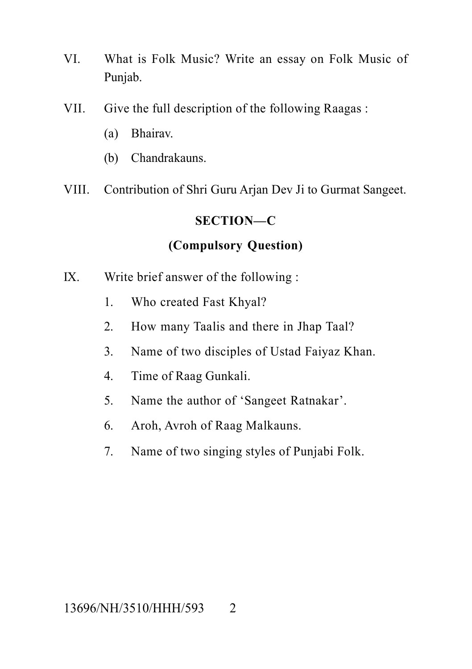- VI. What is Folk Music? Write an essay on Folk Music of Punjab.
- VII. Give the full description of the following Raagas :
	- (a) Bhairav.
	- (b) Chandrakauns.
- VIII. Contribution of Shri Guru Arjan Dev Ji to Gurmat Sangeet.

#### **SECTION—C**

#### **(Compulsory Question)**

- IX. Write brief answer of the following :
	- 1. Who created Fast Khyal?
	- 2. How many Taalis and there in Jhap Taal?
	- 3. Name of two disciples of Ustad Faiyaz Khan.
	- 4. Time of Raag Gunkali.
	- 5. Name the author of 'Sangeet Ratnakar'.
	- 6. Aroh, Avroh of Raag Malkauns.
	- 7. Name of two singing styles of Punjabi Folk.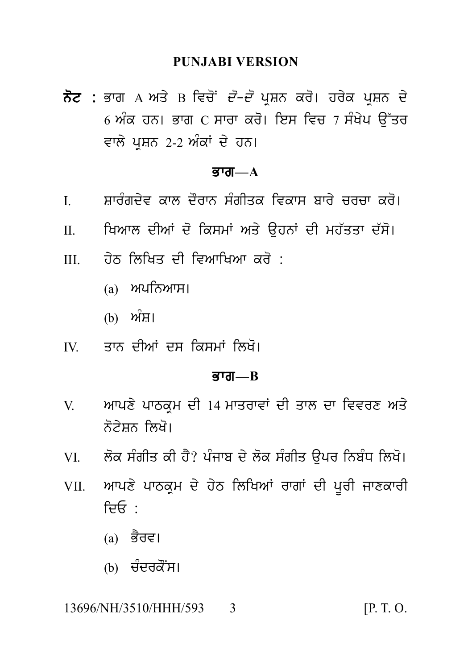PUNJABI VERSION<br>ਨੋਟ : ਭਾਗ A ਅਤੇ B ਵਿਚੋਂ *ਦੋ–ਦੋ* ਪ੍ਰਸ਼ਨ ਕਰੋ। ਹਰੇਕ ਪ੍ਰਸ਼ਨ ਦੇ<br>6 ਅੰਕ ਹਨ। ਭਾਗ C ਸਾਰਾ ਕਰੋ। ਇਸ ਵਿਚ 7 ਸੰਖੇਪ ਉੱਤਰ<br>ਵਾਲੇ ਪਸ਼ਨ 2-2 ਅੰਕਾਂ ਦੇ ਹਨ। PUNJABI VERSION<br>ਭਾਗ A ਅਤੇ B ਵਿਚੋਂ *ਦੋ–ਦੋ* ਪ੍ਰਸ਼ਨ ਕਰੋ। ਹਰੇਕ ਪ੍ਰਸ਼ਨ ਦੇ<br>6 ਅੰਕ ਹਨ। ਭਾਗ C ਸਾਰਾ ਕਰੋ। ਇਸ ਵਿਚ 7 ਸੰਖੇਪ ਉੱਤਰ<br>ਵਾਲੇ ਪ੍ਰਸ਼ਨ 2-2 ਅੰਕਾਂ ਦੇ ਹਨ। **ਨੋਟ :** ਭਾਗ A ਅਤੇ B ਵਿਚੋਂ *ਦੋ–ਦੋ* ਪ੍ਰਸ਼ਨ ਕਰੋ। ਹਰੇਕ ਪ੍ਰਸ਼ਨ ਦੇ<br>6 ਅੰਕ ਹਨ। ਭਾਗ C ਸਾਰਾ ਕਰੋ। ਇਸ ਵਿਚ 7 ਸੰਖੇਪ ਉੱਤਰ<br>ਵਾਲੇ ਪੁਸ਼ਨ 2-2 ਅੰਕਾਂ ਦੇ ਹਨ। ਵਾਲੇ ਪ੍ਰਸ਼ਨ 2-2 ਅੰਕਾਂ ਦੇ ਹਨ।<br>ਭਾਗ—A<br>I. ਸ਼ਾਰੰਗਦੇਵ ਕਾਲ ਦੌਰਾਨ ਸੰਗੀਤਕ ਵਿਕਾਸ ਬਾਰੇ ਚਰਚਾ ਕਰੋ।<br>II. ਖਿਆਲ ਦੀਆਂ ਦੋ ਕਿਸਮਾਂ ਅਤੇ ਉਹਨਾਂ ਦੀ ਮਹੱਤਤਾ ਦੱਸੋ।

#### Bwg**—A**

- **ਭਾਗ—A**<br>I. ਸਾਰੰਗਦੇਵ ਕਾਲ ਦੌਰਾਨ ਸੰਗੀਤਕ ਵਿਕਾਸ ਬਾਰੇ ਚਰਚਾ ਕਰੋ।<br>II. ਬਿਆਲ ਦੀਆਂ ਦੋ ਕਿਸਮਾਂ ਅਤੇ ਉਹਨਾਂ ਦੀ ਮਹੱਤਤਾ ਦੱਸੋ।<br>III. ਹੇਠ ਲਿਖਿਤ ਦੀ ਵਿਆਖਿਆ ਕਰੋ : I. ਸ਼ਾਰੰਗਦੇਵ ਕਾਲ ਦੌਰਾਨ ਸੰਗੀਤਕ ਵਿਕਾਸ ਬਾਰੇ ਚਰਚਾ ਕਰੋ।<br>II. ਖਿਆਲ ਦੀਆਂ ਦੋ ਕਿਸਮਾਂ ਅਤੇ ਉਹਨਾਂ ਦੀ ਮਹੱਤਤਾ ਦੱਸੋ।<br>III ਹੇਨ ਲਿਖਿਤ ਦੀ ਵਿਆਖਿਆ ਕਰੋ :
- 
- III. ਹੇਠ ਲਿਖਿਤ ਦੀ ਵਿਆਖਿਆ ਕਰੋ :<br>(a) ਅਪਨਿਆਸ।<br>(b) ਅੰਸ਼।<br>IV ਤਾਨ ਦੀਆਂ ਦਸ ਕਿਸਮਾਂ ਲਿਖੋ।
	- $(a)$  ਅਪਨਿਆਸ।
	-
- <sub>(a)</sub> ਅਪਨਿਆਸ।<br>(b) ਅੰਸ਼।<br>IV. ਤਾਨ ਦੀਆਂ ਦਸ ਕਿਸਮਾਂ ਲਿਖੋ।<br>**ਭਾਗ—B**

#### Bwg**—B**

- IV. ਤਾਨ ਦੀਆਂ ਦਸ ਕਿਸਮਾਂ ਲਿਖੋ।<br>**ਭਾਗ—B<br>V. ਆ**ਪਣੇ ਪਾਠਕ੍ਰਮ ਦੀ 14 ਮਾਤਰਾਵਾਂ ਦੀ ਤਾਲ ਦਾ ਵਿਵਰਣ ਅਤੇ<br>ਨੋਟੇਸ਼ਨ ਲਿਖੋ।<br>ਪਾ. ਕੋਰ ਪੰਜੀ ਕੀ <sup>ਉੱਤੇ ਅ</sup>ਤਿਆ ਹੈ ਹੋਰ ਪੰਜੀ ਕੀ ਪਾਈ ਕੀ ਪੰਜੀ ਹੈ। ਆਪਣੇ ਪਾਠਕ੍ਰਮ ਦੀ 14 ਮਾਤਰਾਵਾਂ ਦੀ ਤਾਲ ਦਾ ਵਿਵਰਣ ਅਤੇ<br>ਨੋਟੇਸ਼ਨ ਲਿਖੋ।<br>ਲੋਕ ਸੰਗੀਤ ਕੀ ਹੈ? ਪੰਜਾਬ ਦੇ ਲੋਕ ਸੰਗੀਤ ੳਪਰ ਨਿਬੰਧ ਲਿਖੋ। V. ਅਾਪਣੇ ਪਾਠਕ੍ਰਮ ਦੀ 14 ਮਾਤਰਾਵਾਂ ਦੀ ਤਾਲ ਦਾ ਵਿਵਰਣ ਅਤੇ<br>ਨੋਟੇਸ਼ਨ ਲਿਖੋ।<br>VI. ਲੋਕ ਸੰਗੀਤ ਕੀ ਹੈ? ਪੰਜਾਬ ਦੇ ਲੋਕ ਸੰਗੀਤ ਉਪਰ ਨਿਬੰਧ ਲਿਖੋ।<br>VII. ਆਪਣੇ ਪਾਠਕ੍ਰਮ ਦੇ ਹੇਠ ਲਿਖਿਆਂ ਰਾਗਾਂ ਦੀ ਪੂਰੀ ਜਾਣਕਾਰੀ
- 
- ਨੋਟੇਸ਼ਨ ਲਿਖੋ।<br>VI. ਲੋਕ ਸੰਗੀਤ ਕੀ ਹੈ? ਪੰਜਾਬ ਦੇ ਲੋਕ ਸੰਗੀਤ ਉਪਰ ਨਿਬੰਧ ਲਿਖੋ।<br>VII. ਆਪਣੇ ਪਾਠਕ੍ਰਮ ਦੇ ਹੇਠ ਲਿਖਿਆਂ ਰਾਗਾਂ ਦੀ ਪੂਰੀ ਜਾਣਕਾਰੀ<br>ਦਿਓ : ਜ਼ਿਓ $\cdot$ ਆਪਣੇ ਪਾਠਕ੍ਰਮ ਦੇ ਹੇਠ ਲਿਖਿਾ<br>ਦਿਓ :<br><sub>(a)</sub> ਭੈਰਵ।<br><sub>(b)</sub> ਚੰਦਰਕੌਂਸ। ਦਿਓ :<br>(a) ਭੈਰਵ।<br>(b) ਚੰਦਰਕੌਂਸ।<br>NH/3510/HHH/593 3
	-
	-

#### 13696/NH/3510/HHH/593 3 [P. T. O.